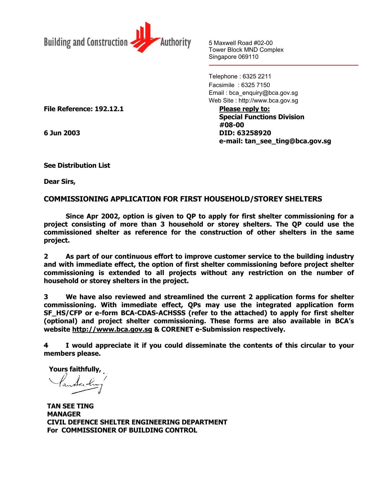

5 Maxwell Road #02-00 Tower Block MND Complex Singapore 069110

Telephone : 6325 2211 Facsimile : 6325 7150 Email : bca\_enquiry@bca.gov.sg Web Site : http://www.bca.gov.sg

**Special Functions Division #08-00 6 Jun 2003 DID: 63258920 e-mail: tan\_see\_ting@bca.gov.sg**

File Reference: 192.12.1 Please reply to:

**See Distribution List**

**Dear Sirs,**

## **COMMISSIONING APPLICATION FOR FIRST HOUSEHOLD/STOREY SHELTERS**

**Since Apr 2002, option is given to QP to apply for first shelter commissioning for a project consisting of more than 3 household or storey shelters. The QP could use the commissioned shelter as reference for the construction of other shelters in the same project.**

**2 As part of our continuous effort to improve customer service to the building industry and with immediate effect, the option of first shelter commissioning before project shelter commissioning is extended to all projects without any restriction on the number of household or storey shelters in the project.**

**3 We have also reviewed and streamlined the current 2 application forms for shelter commissioning. With immediate effect, QPs may use the integrated application form SF\_HS/CFP or e-form BCA-CDAS-ACHSSS (refer to the attached) to apply for first shelter (optional) and project shelter commissioning. These forms are also available in BCA's website [http://www.bca.gov.sg](http://www.bca.gov.sg/) & CORENET e-Submission respectively.**

**4 I would appreciate it if you could disseminate the contents of this circular to your members please.**

 **Yours faithfully,**

**TAN SEE TING MANAGER CIVIL DEFENCE SHELTER ENGINEERING DEPARTMENT For COMMISSIONER OF BUILDING CONTROL**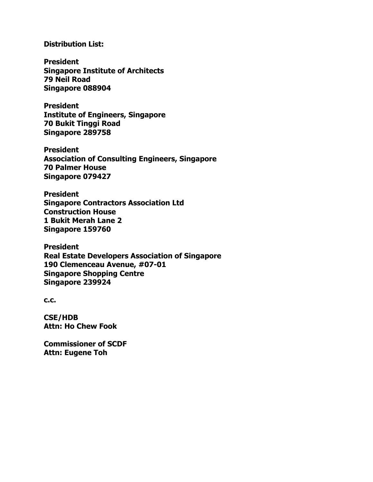## **Distribution List:**

**President Singapore Institute of Architects 79 Neil Road Singapore 088904**

**President Institute of Engineers, Singapore 70 Bukit Tinggi Road Singapore 289758**

**President Association of Consulting Engineers, Singapore 70 Palmer House Singapore 079427**

**President Singapore Contractors Association Ltd Construction House 1 Bukit Merah Lane 2 Singapore 159760**

**President Real Estate Developers Association of Singapore 190 Clemenceau Avenue, #07-01 Singapore Shopping Centre Singapore 239924**

**c.c.**

**CSE/HDB Attn: Ho Chew Fook**

**Commissioner of SCDF Attn: Eugene Toh**